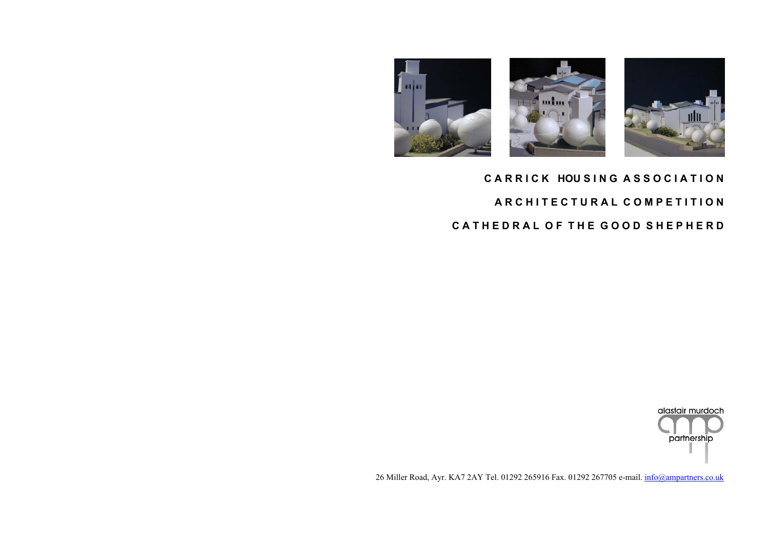

26 Miller Road, Ayr. KA7 2AY Tel. 01292 265916 Fax. 01292 267705 e-mail. [info@ampartners.co.uk](mailto:info@ampartners.co.uk)





# **C A R R I C K HOU S I N G A S S O C I A T I O N A R C H I T E C T U R A L C O M P E T I T I O N C A T H E D R A L O F T H E G O O D S H E P H E R D**

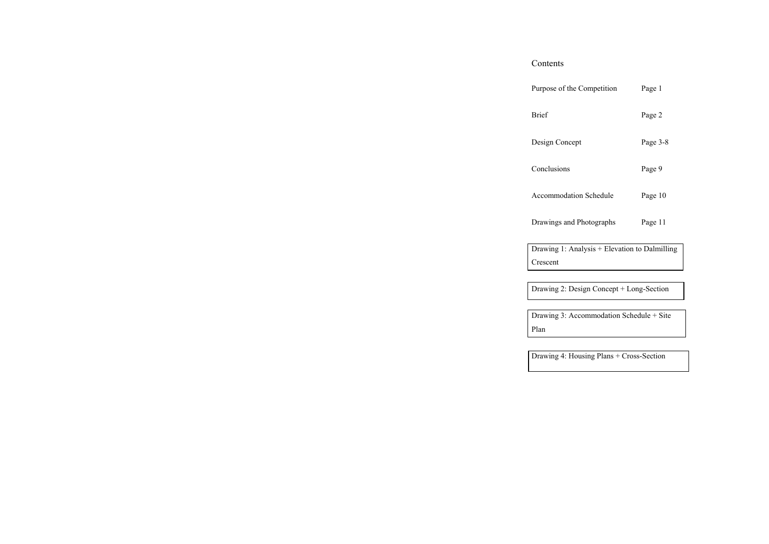| Purpose of the Competition    | Page 1   |
|-------------------------------|----------|
| Brief                         | Page 2   |
| Design Concept                | Page 3-8 |
| Conclusions                   | Page 9   |
| <b>Accommodation Schedule</b> | Page 10  |
| Drawings and Photographs      | Page 11  |

Elevation to Dalmilling

cept + Long-Section

ation Schedule + Site

 $ans + Cross-Section$ 

| Contents                            |
|-------------------------------------|
| Purpose of the Competit             |
| Brief                               |
| Design Concept                      |
| Conclusions                         |
| Accommodation Schedu                |
| Drawings and Photograp              |
| Drawing 1: Analysis + E<br>Crescent |
| Drawing 2: Design Conc              |
| Drawing 3: Accommoda<br>Plan        |
| Drawing 4: Housing Plar             |
|                                     |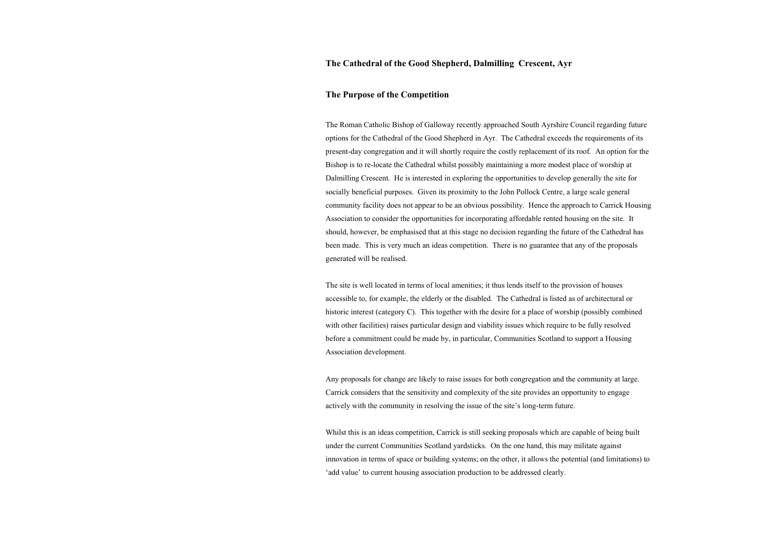#### **The Purpose of the Competition**

The Roman Catholic Bishop of Galloway recently approached South Ayrshire Council regarding future options for the Cathedral of the Good Shepherd in Ayr. The Cathedral exceeds the requirements of its present-day congregation and it will shortly require the costly replacement of its roof. An option for the Bishop is to re-locate the Cathedral whilst possibly maintaining a more modest place of worship at Dalmilling Crescent. He is interested in exploring the opportunities to develop generally the site for socially beneficial purposes. Given its proximity to the John Pollock Centre, a large scale general community facility does not appear to be an obvious possibility. Hence the approach to Carrick Housing Association to consider the opportunities for incorporating affordable rented housing on the site. It should, however, be emphasised that at this stage no decision regarding the future of the Cathedral has been made. This is very much an ideas competition. There is no guarantee that any of the proposals generated will be realised.

The site is well located in terms of local amenities; it thus lends itself to the provision of houses accessible to, for example, the elderly or the disabled. The Cathedral is listed as of architectural or historic interest (category C). This together with the desire for a place of worship (possibly combined with other facilities) raises particular design and viability issues which require to be fully resolved before a commitment could be made by, in particular, Communities Scotland to support a Housing Association development.

Any proposals for change are likely to raise issues for both congregation and the community at large. Carrick considers that the sensitivity and complexity of the site provides an opportunity to engage actively with the community in resolving the issue of the site's long-term future.

Whilst this is an ideas competition, Carrick is still seeking proposals which are capable of being built under the current Communities Scotland yardsticks. On the one hand, this may militate against innovation in terms of space or building systems; on the other, it allows the potential (and limitations) to 'add value' to current housing association production to be addressed clearly.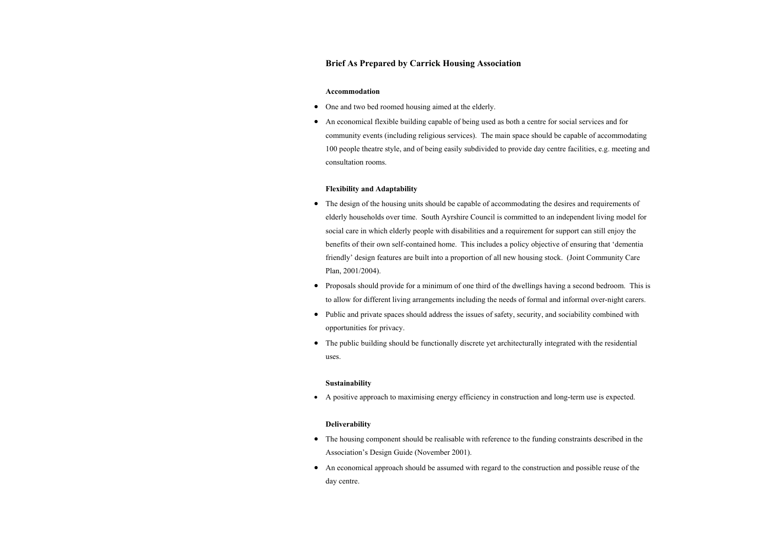#### **Brief As Prepared by Carrick Housing Association**

#### **Accommodation**

- One and two bed roomed housing aimed at the elderly.
- An economical flexible building capable of being used as both a centre for social services and for community events (including religious services). The main space should be capable of accommodating 100 people theatre style, and of being easily subdivided to provide day centre facilities, e.g. meeting and consultation rooms.

#### **Flexibility and Adaptability**

- The design of the housing units should be capable of accommodating the desires and requirements of elderly households over time. South Ayrshire Council is committed to an independent living model for social care in which elderly people with disabilities and a requirement for support can still enjoy the benefits of their own self-contained home. This includes a policy objective of ensuring that 'dementia friendly' design features are built into a proportion of all new housing stock. (Joint Community Care Plan, 2001/2004).
- Proposals should provide for a minimum of one third of the dwellings having a second bedroom. This is to allow for different living arrangements including the needs of formal and informal over-night carers.
- Public and private spaces should address the issues of safety, security, and sociability combined with opportunities for privacy.
- The public building should be functionally discrete yet architecturally integrated with the residential uses.

#### **Sustainability**

• A positive approach to maximising energy efficiency in construction and long-term use is expected.

#### **Deliverability**

- The housing component should be realisable with reference to the funding constraints described in the Association's Design Guide (November 2001).
- An economical approach should be assumed with regard to the construction and possible reuse of the day centre.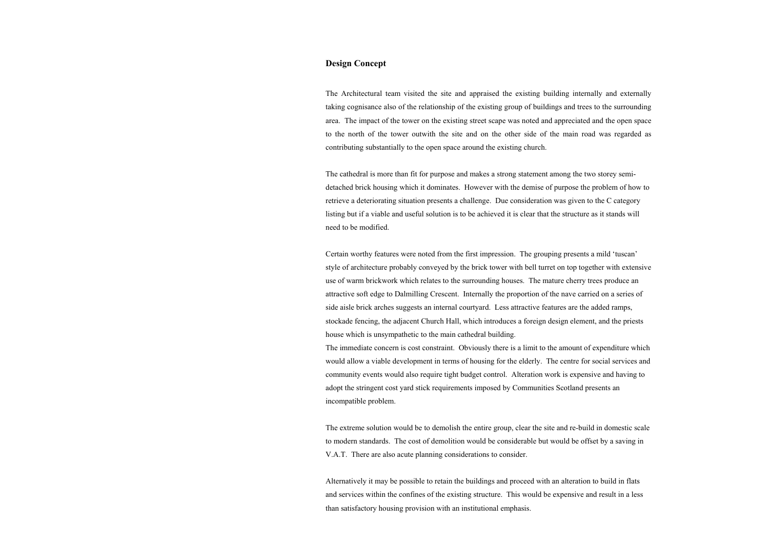### **Design Concept**

The Architectural team visited the site and appraised the existing building internally and externally taking cognisance also of the relationship of the existing group of buildings and trees to the surrounding area. The impact of the tower on the existing street scape was noted and appreciated and the open space to the north of the tower outwith the site and on the other side of the main road was regarded as contributing substantially to the open space around the existing church.

The cathedral is more than fit for purpose and makes a strong statement among the two storey semidetached brick housing which it dominates. However with the demise of purpose the problem of how to retrieve a deteriorating situation presents a challenge. Due consideration was given to the C category listing but if a viable and useful solution is to be achieved it is clear that the structure as it stands will need to be modified.

Certain worthy features were noted from the first impression. The grouping presents a mild 'tuscan' style of architecture probably conveyed by the brick tower with bell turret on top together with extensive use of warm brickwork which relates to the surrounding houses. The mature cherry trees produce an attractive soft edge to Dalmilling Crescent. Internally the proportion of the nave carried on a series of side aisle brick arches suggests an internal courtyard. Less attractive features are the added ramps, stockade fencing, the adjacent Church Hall, which introduces a foreign design element, and the priests house which is unsympathetic to the main cathedral building.

The immediate concern is cost constraint. Obviously there is a limit to the amount of expenditure which would allow a viable development in terms of housing for the elderly. The centre for social services and community events would also require tight budget control. Alteration work is expensive and having to adopt the stringent cost yard stick requirements imposed by Communities Scotland presents an incompatible problem.

The extreme solution would be to demolish the entire group, clear the site and re-build in domestic scale to modern standards. The cost of demolition would be considerable but would be offset by a saving in V.A.T. There are also acute planning considerations to consider.

Alternatively it may be possible to retain the buildings and proceed with an alteration to build in flats and services within the confines of the existing structure. This would be expensive and result in a less than satisfactory housing provision with an institutional emphasis.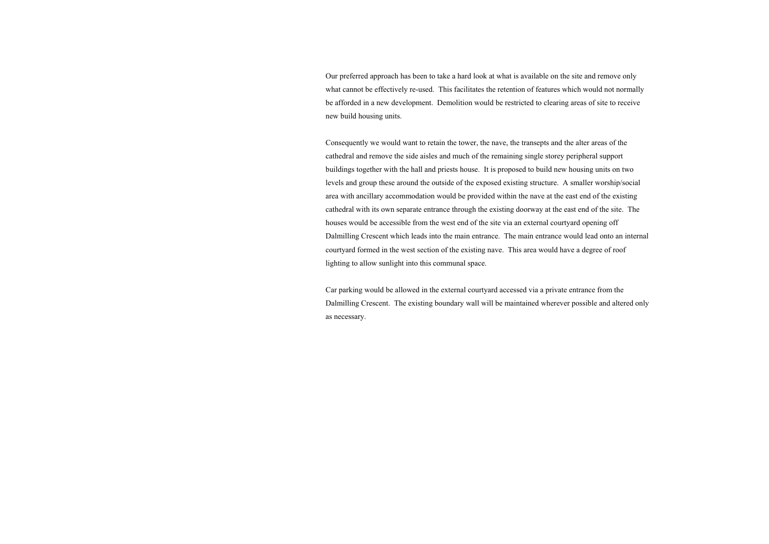Our preferred approach has been to take a hard look at what is available on the site and remove only what cannot be effectively re-used. This facilitates the retention of features which would not normally be afforded in a new development. Demolition would be restricted to clearing areas of site to receive new build housing units.

Consequently we would want to retain the tower, the nave, the transepts and the alter areas of the cathedral and remove the side aisles and much of the remaining single storey peripheral support buildings together with the hall and priests house. It is proposed to build new housing units on two levels and group these around the outside of the exposed existing structure. A smaller worship/social area with ancillary accommodation would be provided within the nave at the east end of the existing cathedral with its own separate entrance through the existing doorway at the east end of the site. The houses would be accessible from the west end of the site via an external courtyard opening off Dalmilling Crescent which leads into the main entrance. The main entrance would lead onto an internal courtyard formed in the west section of the existing nave. This area would have a degree of roof lighting to allow sunlight into this communal space.

Car parking would be allowed in the external courtyard accessed via a private entrance from the Dalmilling Crescent. The existing boundary wall will be maintained wherever possible and altered only as necessary.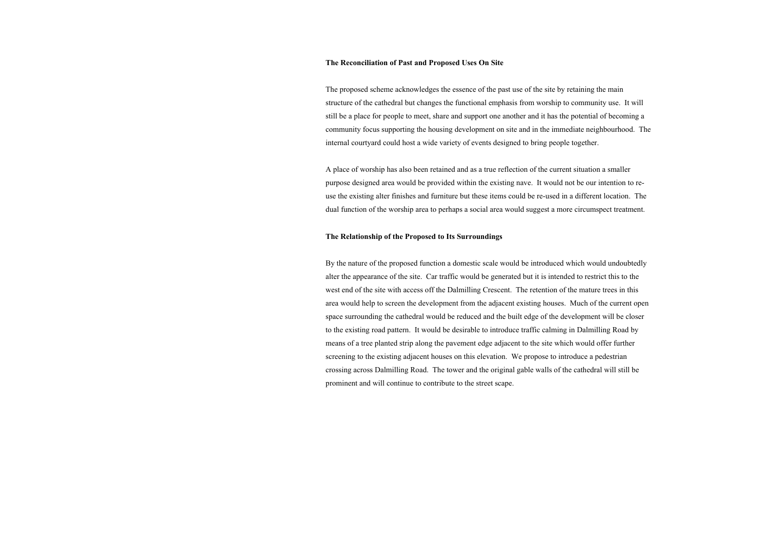#### **The Reconciliation of Past and Proposed Uses On Site**

The proposed scheme acknowledges the essence of the past use of the site by retaining the main structure of the cathedral but changes the functional emphasis from worship to community use. It will still be a place for people to meet, share and support one another and it has the potential of becoming a community focus supporting the housing development on site and in the immediate neighbourhood. The internal courtyard could host a wide variety of events designed to bring people together.

A place of worship has also been retained and as a true reflection of the current situation a smaller purpose designed area would be provided within the existing nave. It would not be our intention to reuse the existing alter finishes and furniture but these items could be re-used in a different location. The dual function of the worship area to perhaps a social area would suggest a more circumspect treatment.

#### **The Relationship of the Proposed to Its Surroundings**

By the nature of the proposed function a domestic scale would be introduced which would undoubtedly alter the appearance of the site. Car traffic would be generated but it is intended to restrict this to the west end of the site with access off the Dalmilling Crescent. The retention of the mature trees in this area would help to screen the development from the adjacent existing houses. Much of the current open space surrounding the cathedral would be reduced and the built edge of the development will be closer to the existing road pattern. It would be desirable to introduce traffic calming in Dalmilling Road by means of a tree planted strip along the pavement edge adjacent to the site which would offer further screening to the existing adjacent houses on this elevation. We propose to introduce a pedestrian crossing across Dalmilling Road. The tower and the original gable walls of the cathedral will still be prominent and will continue to contribute to the street scape.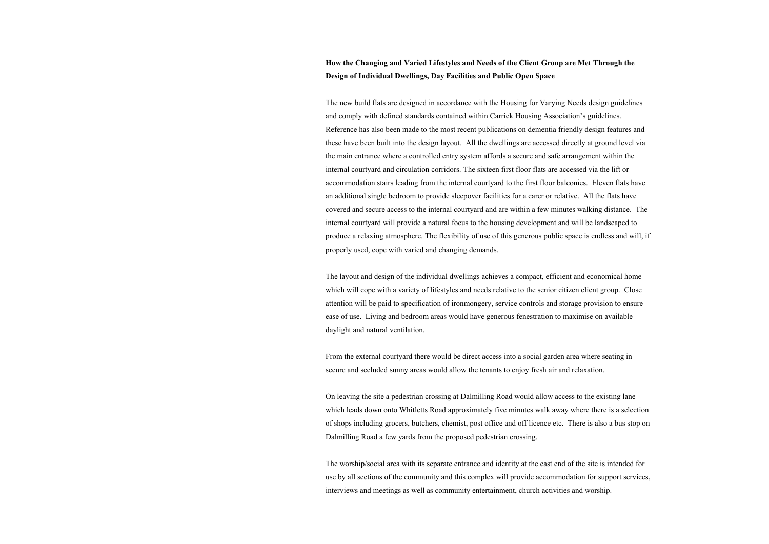# **How the Changing and Varied Lifestyles and Needs of the Client Group are Met Through the Design of Individual Dwellings, Day Facilities and Public Open Space**

The new build flats are designed in accordance with the Housing for Varying Needs design guidelines and comply with defined standards contained within Carrick Housing Association's guidelines. Reference has also been made to the most recent publications on dementia friendly design features and these have been built into the design layout. All the dwellings are accessed directly at ground level via the main entrance where a controlled entry system affords a secure and safe arrangement within the internal courtyard and circulation corridors. The sixteen first floor flats are accessed via the lift or accommodation stairs leading from the internal courtyard to the first floor balconies. Eleven flats have an additional single bedroom to provide sleepover facilities for a carer or relative. All the flats have covered and secure access to the internal courtyard and are within a few minutes walking distance. The internal courtyard will provide a natural focus to the housing development and will be landscaped to produce a relaxing atmosphere. The flexibility of use of this generous public space is endless and will, if properly used, cope with varied and changing demands.

The layout and design of the individual dwellings achieves a compact, efficient and economical home which will cope with a variety of lifestyles and needs relative to the senior citizen client group. Close attention will be paid to specification of ironmongery, service controls and storage provision to ensure ease of use. Living and bedroom areas would have generous fenestration to maximise on available daylight and natural ventilation.

From the external courtyard there would be direct access into a social garden area where seating in secure and secluded sunny areas would allow the tenants to enjoy fresh air and relaxation.

On leaving the site a pedestrian crossing at Dalmilling Road would allow access to the existing lane which leads down onto Whitletts Road approximately five minutes walk away where there is a selection of shops including grocers, butchers, chemist, post office and off licence etc. There is also a bus stop on Dalmilling Road a few yards from the proposed pedestrian crossing.

The worship/social area with its separate entrance and identity at the east end of the site is intended for use by all sections of the community and this complex will provide accommodation for support services, interviews and meetings as well as community entertainment, church activities and worship.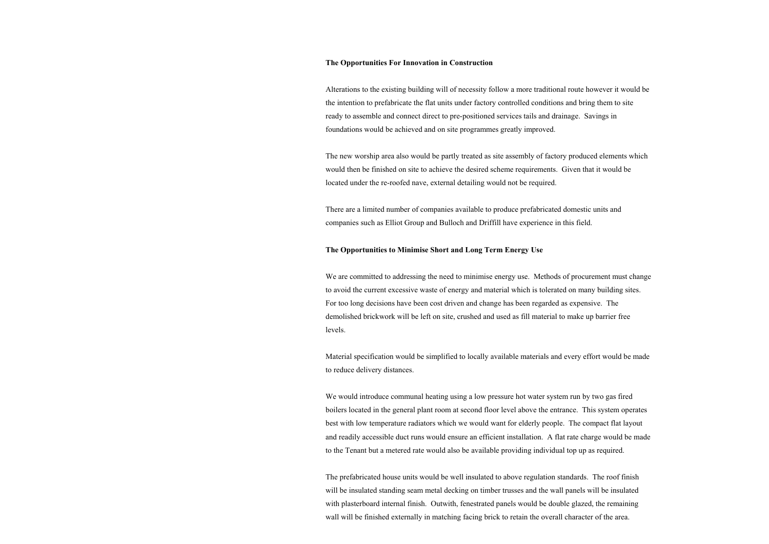#### **The Opportunities For Innovation in Construction**

Alterations to the existing building will of necessity follow a more traditional route however it would be the intention to prefabricate the flat units under factory controlled conditions and bring them to site ready to assemble and connect direct to pre-positioned services tails and drainage. Savings in foundations would be achieved and on site programmes greatly improved.

The new worship area also would be partly treated as site assembly of factory produced elements which would then be finished on site to achieve the desired scheme requirements. Given that it would be located under the re-roofed nave, external detailing would not be required.

We are committed to addressing the need to minimise energy use. Methods of procurement must change to avoid the current excessive waste of energy and material which is tolerated on many building sites. For too long decisions have been cost driven and change has been regarded as expensive. The demolished brickwork will be left on site, crushed and used as fill material to make up barrier free levels.

There are a limited number of companies available to produce prefabricated domestic units and companies such as Elliot Group and Bulloch and Driffill have experience in this field.

#### **The Opportunities to Minimise Short and Long Term Energy Use**

Material specification would be simplified to locally available materials and every effort would be made to reduce delivery distances.

We would introduce communal heating using a low pressure hot water system run by two gas fired boilers located in the general plant room at second floor level above the entrance. This system operates best with low temperature radiators which we would want for elderly people. The compact flat layout and readily accessible duct runs would ensure an efficient installation. A flat rate charge would be made to the Tenant but a metered rate would also be available providing individual top up as required.

The prefabricated house units would be well insulated to above regulation standards. The roof finish will be insulated standing seam metal decking on timber trusses and the wall panels will be insulated with plasterboard internal finish. Outwith, fenestrated panels would be double glazed, the remaining wall will be finished externally in matching facing brick to retain the overall character of the area.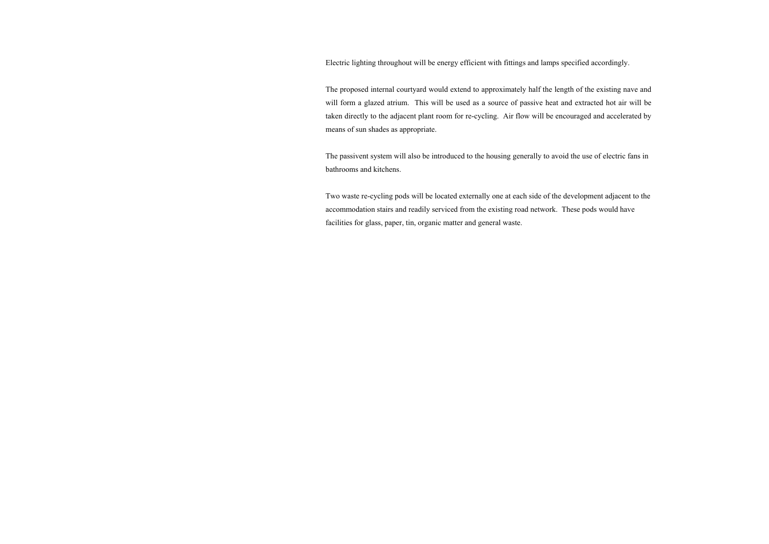Electric lighting throughout will be energy efficient with fittings and lamps specified accordingly.

The proposed internal courtyard would extend to approximately half the length of the existing nave and will form a glazed atrium. This will be used as a source of passive heat and extracted hot air will be taken directly to the adjacent plant room for re-cycling. Air flow will be encouraged and accelerated by means of sun shades as appropriate.

The passivent system will also be introduced to the housing generally to avoid the use of electric fans in bathrooms and kitchens.

Two waste re-cycling pods will be located externally one at each side of the development adjacent to the accommodation stairs and readily serviced from the existing road network. These pods would have facilities for glass, paper, tin, organic matter and general waste.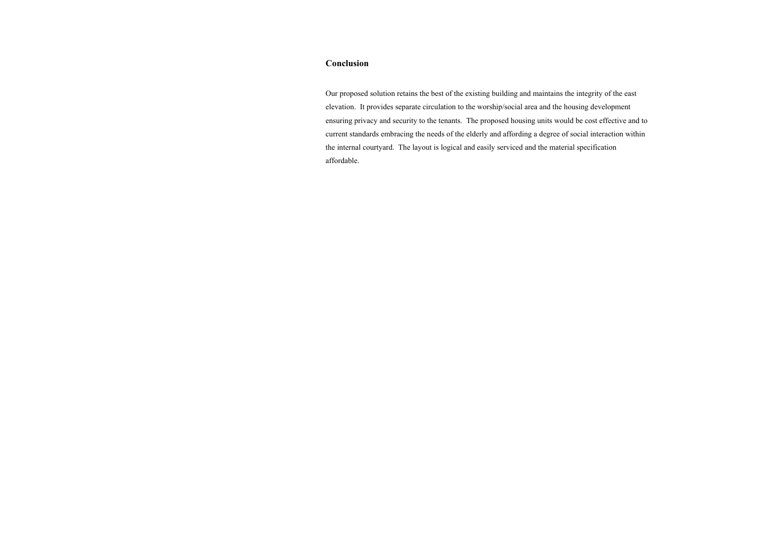#### **Conclusion**

Our proposed solution retains the best of the existing building and maintains the integrity of the east elevation. It provides separate circulation to the worship/social area and the housing development ensuring privacy and security to the tenants. The proposed housing units would be cost effective and to current standards embracing the needs of the elderly and affording a degree of social interaction within the internal courtyard. The layout is logical and easily serviced and the material specification affordable.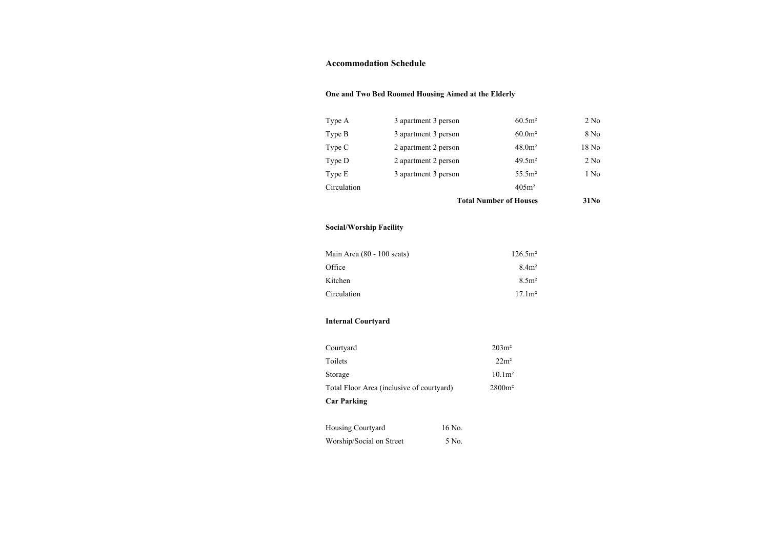#### **Accommodation Schedule**

# **One and Two Bed Roomed Housing Aimed at the Elderly**

| Type A      | 3 apartment 3 person | $60.5m^2$          | 2 N <sub>0</sub> |
|-------------|----------------------|--------------------|------------------|
| Type $B$    | 3 apartment 3 person | $60.0m^2$          | 8 No             |
| Type C      | 2 apartment 2 person | 48.0 <sup>m²</sup> | 18 No            |
| Type D      | 2 apartment 2 person | 49.5m <sup>2</sup> | 2 N <sub>0</sub> |
| Type E      | 3 apartment 3 person | 55.5m <sup>2</sup> | 1 No             |
| Circulation |                      | 405m <sup>2</sup>  |                  |

#### **Total Number of Houses**

# **Social/Worship Facility**

| Main Area (80 - 100 seats) | $126.5m^2$       |
|----------------------------|------------------|
| Office                     | 8.4 <sup>2</sup> |
| Kitchen                    | $8.5m^2$         |
| Circulation                | $17.1m^2$        |

# **Internal Courtyard**

| <b>Car Parking</b>                        |                  |
|-------------------------------------------|------------------|
| Total Floor Area (inclusive of courtyard) | $2800m^2$        |
| Storage                                   | $10.1m^2$        |
| Toilets                                   | 22m <sup>2</sup> |
| Courtyard                                 | $203m^2$         |

| Housing Courtyard        | 16 No. |
|--------------------------|--------|
| Worship/Social on Street | 5 No.  |

- 
- 
- 
- 
- 

## 31No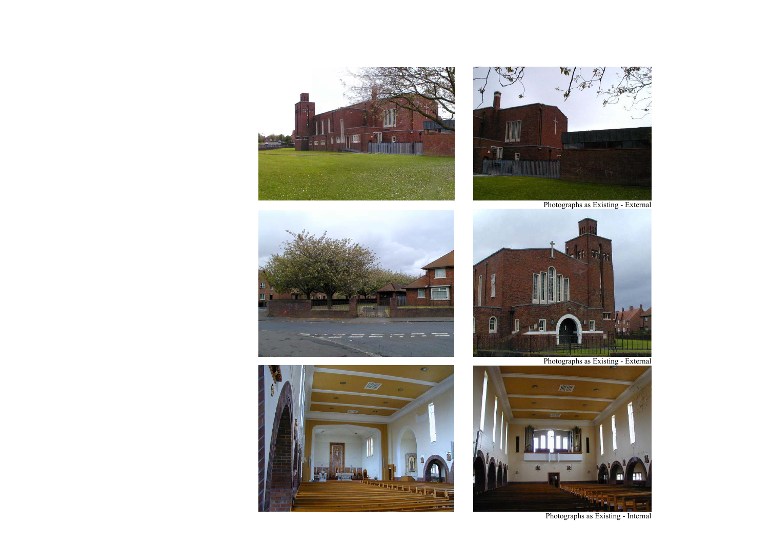











Photographs as Existing - External

Photographs as Existing - External

Photographs as Existing - Internal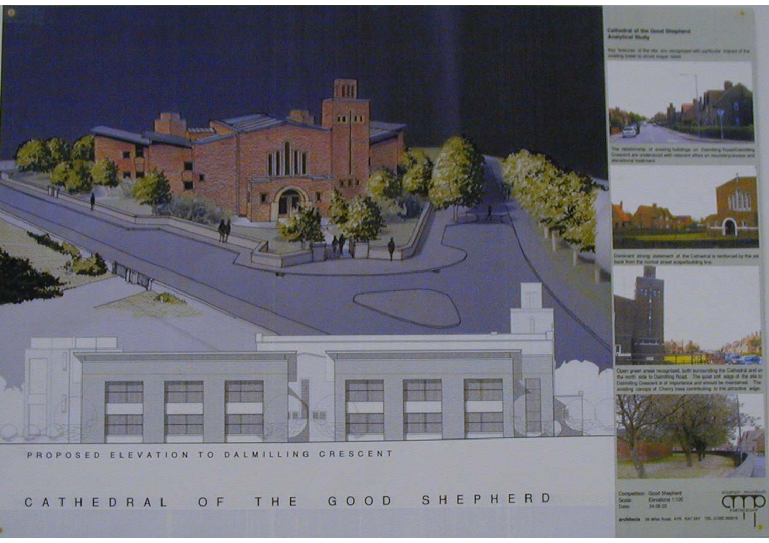

PROPOSED ELEVATION TO DALMILLING CRESCENT

CATHEDRAL OF THE GOOD SHEPHERD

Competition: Good Shepherd Elevations 1:500 Scale: 24.06.02

andelessing on sine hour, and starting too, published a

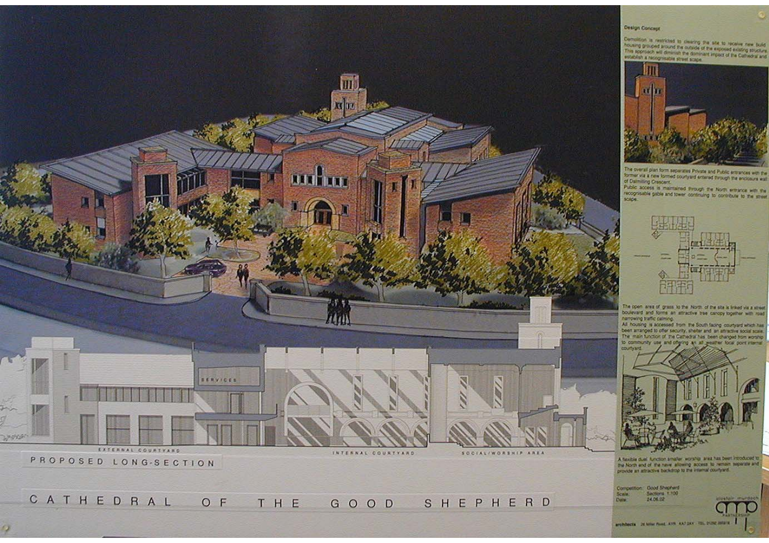

CATHEDRAL O F SHEPHERD THE GOOD

o

architects. It was fust AVS AAT DV: TO, DOM HER ...

24.06.02

Date:

Demolition, is restricted to clearing the site to receive new build This sponsor) will diminute the dominant impact of the Cothedral and



The overall plan form separates Private and Public entrances with the former via a new formed courtyard entered through the enclosure wall of Dalmilling Crescent.

Public access is maintained through the North entrance with the



The open area of grass to the North of the site is linked via a street. boulevard and forms an attractive tree carcoy together with road narrowing traffic calming.

All housing is accessed from the South facing countyard which has<br>been amanged to offer security, shelter and an attractive social scale.<br>The main function of the Gamedral has been changed from worship<br>15 community use and



A fasible dual Ainction smaller, worship area has been introduced to the North and of the new allowing access to remain separate and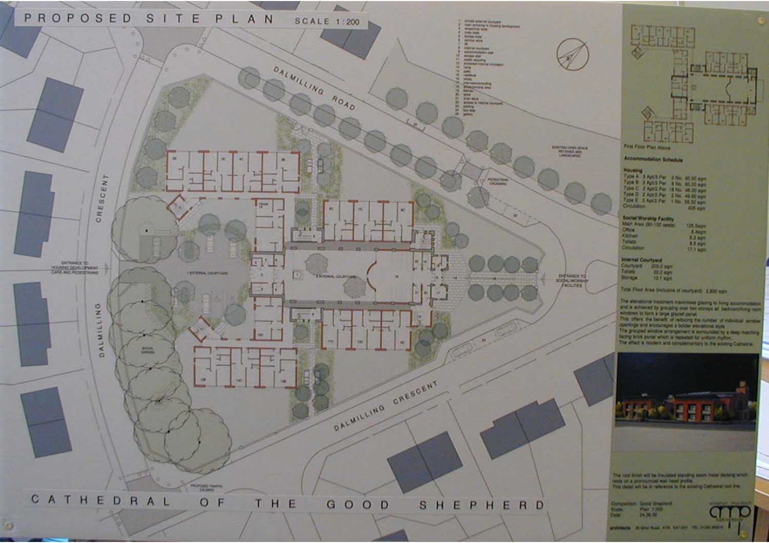